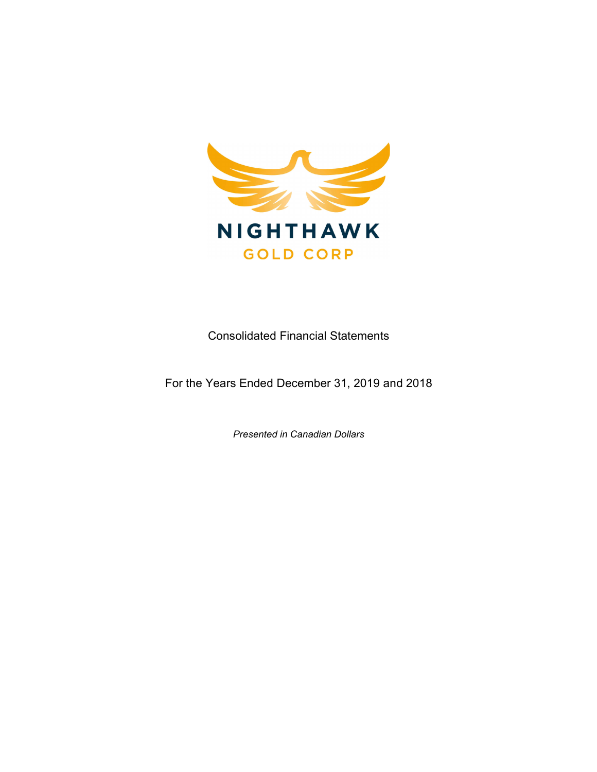

Consolidated Financial Statements

For the Years Ended December 31, 2019 and 2018

Presented in Canadian Dollars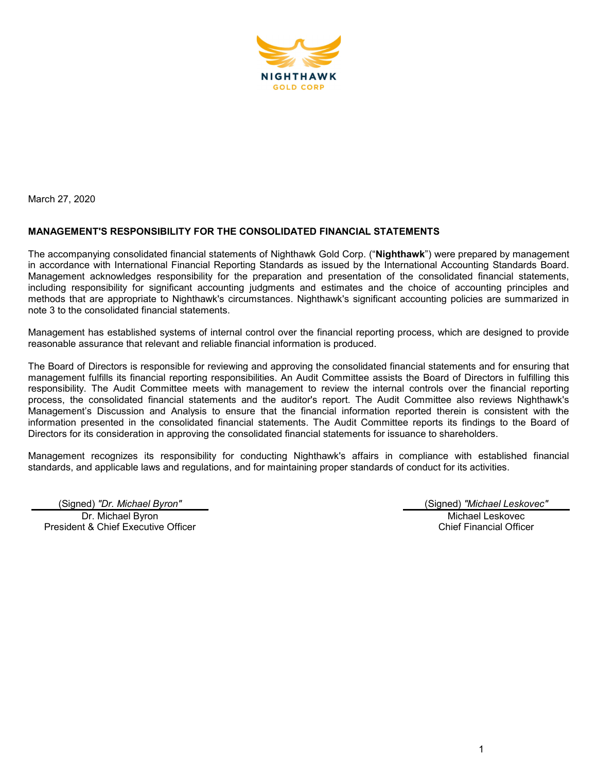

March 27, 2020

# MANAGEMENT'S RESPONSIBILITY FOR THE CONSOLIDATED FINANCIAL STATEMENTS

The accompanying consolidated financial statements of Nighthawk Gold Corp. ("Nighthawk") were prepared by management in accordance with International Financial Reporting Standards as issued by the International Accounting Standards Board. Management acknowledges responsibility for the preparation and presentation of the consolidated financial statements, including responsibility for significant accounting judgments and estimates and the choice of accounting principles and methods that are appropriate to Nighthawk's circumstances. Nighthawk's significant accounting policies are summarized in note 3 to the consolidated financial statements.

Management has established systems of internal control over the financial reporting process, which are designed to provide reasonable assurance that relevant and reliable financial information is produced.

The Board of Directors is responsible for reviewing and approving the consolidated financial statements and for ensuring that management fulfills its financial reporting responsibilities. An Audit Committee assists the Board of Directors in fulfilling this responsibility. The Audit Committee meets with management to review the internal controls over the financial reporting process, the consolidated financial statements and the auditor's report. The Audit Committee also reviews Nighthawk's Management's Discussion and Analysis to ensure that the financial information reported therein is consistent with the information presented in the consolidated financial statements. The Audit Committee reports its findings to the Board of Directors for its consideration in approving the consolidated financial statements for issuance to shareholders.

Management recognizes its responsibility for conducting Nighthawk's affairs in compliance with established financial standards, and applicable laws and regulations, and for maintaining proper standards of conduct for its activities.

(Signed) "Dr. Michael Byron" (Signed) "Michael Leskovec" Dr. Michael Byron President & Chief Executive Officer

Michael Leskovec

Chief Financial Officer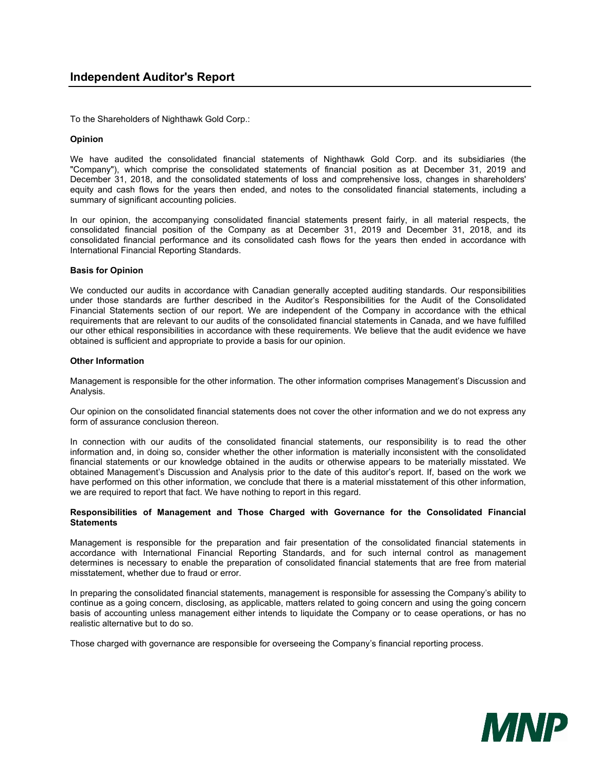To the Shareholders of Nighthawk Gold Corp.:

#### Opinion

We have audited the consolidated financial statements of Nighthawk Gold Corp. and its subsidiaries (the "Company"), which comprise the consolidated statements of financial position as at December 31, 2019 and December 31, 2018, and the consolidated statements of loss and comprehensive loss, changes in shareholders' equity and cash flows for the years then ended, and notes to the consolidated financial statements, including a summary of significant accounting policies.

In our opinion, the accompanying consolidated financial statements present fairly, in all material respects, the consolidated financial position of the Company as at December 31, 2019 and December 31, 2018, and its consolidated financial performance and its consolidated cash flows for the years then ended in accordance with International Financial Reporting Standards.

#### Basis for Opinion

We conducted our audits in accordance with Canadian generally accepted auditing standards. Our responsibilities under those standards are further described in the Auditor's Responsibilities for the Audit of the Consolidated Financial Statements section of our report. We are independent of the Company in accordance with the ethical requirements that are relevant to our audits of the consolidated financial statements in Canada, and we have fulfilled our other ethical responsibilities in accordance with these requirements. We believe that the audit evidence we have obtained is sufficient and appropriate to provide a basis for our opinion.

#### Other Information

Management is responsible for the other information. The other information comprises Management's Discussion and Analysis.

Our opinion on the consolidated financial statements does not cover the other information and we do not express any form of assurance conclusion thereon.

In connection with our audits of the consolidated financial statements, our responsibility is to read the other information and, in doing so, consider whether the other information is materially inconsistent with the consolidated financial statements or our knowledge obtained in the audits or otherwise appears to be materially misstated. We obtained Management's Discussion and Analysis prior to the date of this auditor's report. If, based on the work we have performed on this other information, we conclude that there is a material misstatement of this other information, we are required to report that fact. We have nothing to report in this regard.

#### Responsibilities of Management and Those Charged with Governance for the Consolidated Financial **Statements**

Management is responsible for the preparation and fair presentation of the consolidated financial statements in accordance with International Financial Reporting Standards, and for such internal control as management determines is necessary to enable the preparation of consolidated financial statements that are free from material misstatement, whether due to fraud or error.

In preparing the consolidated financial statements, management is responsible for assessing the Company's ability to continue as a going concern, disclosing, as applicable, matters related to going concern and using the going concern basis of accounting unless management either intends to liquidate the Company or to cease operations, or has no realistic alternative but to do so.

Those charged with governance are responsible for overseeing the Company's financial reporting process.

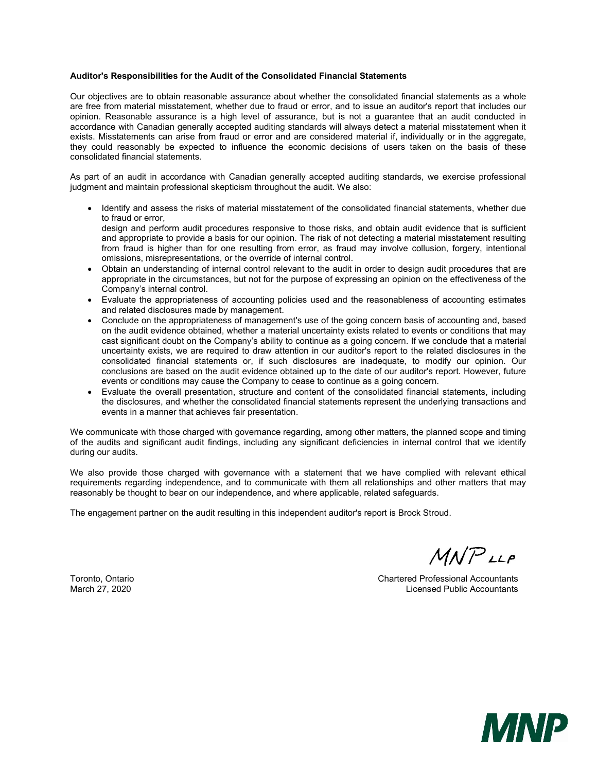#### Auditor's Responsibilities for the Audit of the Consolidated Financial Statements

Our objectives are to obtain reasonable assurance about whether the consolidated financial statements as a whole are free from material misstatement, whether due to fraud or error, and to issue an auditor's report that includes our opinion. Reasonable assurance is a high level of assurance, but is not a guarantee that an audit conducted in accordance with Canadian generally accepted auditing standards will always detect a material misstatement when it exists. Misstatements can arise from fraud or error and are considered material if, individually or in the aggregate, they could reasonably be expected to influence the economic decisions of users taken on the basis of these consolidated financial statements.

As part of an audit in accordance with Canadian generally accepted auditing standards, we exercise professional judgment and maintain professional skepticism throughout the audit. We also:

 Identify and assess the risks of material misstatement of the consolidated financial statements, whether due to fraud or error,

design and perform audit procedures responsive to those risks, and obtain audit evidence that is sufficient and appropriate to provide a basis for our opinion. The risk of not detecting a material misstatement resulting from fraud is higher than for one resulting from error, as fraud may involve collusion, forgery, intentional omissions, misrepresentations, or the override of internal control.

- Obtain an understanding of internal control relevant to the audit in order to design audit procedures that are appropriate in the circumstances, but not for the purpose of expressing an opinion on the effectiveness of the Company's internal control.
- Evaluate the appropriateness of accounting policies used and the reasonableness of accounting estimates and related disclosures made by management.
- Conclude on the appropriateness of management's use of the going concern basis of accounting and, based on the audit evidence obtained, whether a material uncertainty exists related to events or conditions that may cast significant doubt on the Company's ability to continue as a going concern. If we conclude that a material uncertainty exists, we are required to draw attention in our auditor's report to the related disclosures in the consolidated financial statements or, if such disclosures are inadequate, to modify our opinion. Our conclusions are based on the audit evidence obtained up to the date of our auditor's report. However, future events or conditions may cause the Company to cease to continue as a going concern.
- Evaluate the overall presentation, structure and content of the consolidated financial statements, including the disclosures, and whether the consolidated financial statements represent the underlying transactions and events in a manner that achieves fair presentation.

We communicate with those charged with governance regarding, among other matters, the planned scope and timing of the audits and significant audit findings, including any significant deficiencies in internal control that we identify during our audits.

We also provide those charged with governance with a statement that we have complied with relevant ethical requirements regarding independence, and to communicate with them all relationships and other matters that may reasonably be thought to bear on our independence, and where applicable, related safeguards.

The engagement partner on the audit resulting in this independent auditor's report is Brock Stroud.

 $M$  $N$  $P$ <sub> $LL$  $P$ </sub>

Toronto, Ontario Chartered Professional Accountants March 27, 2020 Licensed Public Accountants

**MNP**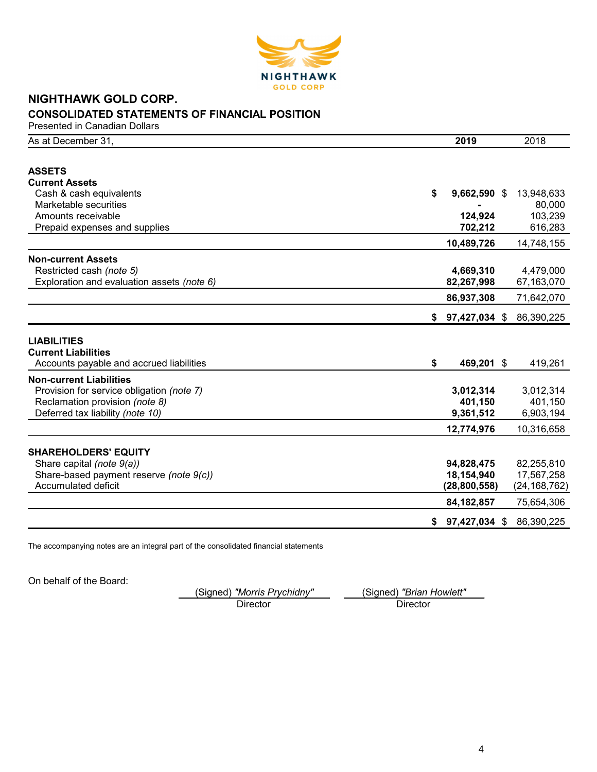

# NIGHTHAWK GOLD CORP. CONSOLIDATED STATEMENTS OF FINANCIAL POSITION

Presented in Canadian Dollars

| As at December 31,                         | 2019                 | 2018           |
|--------------------------------------------|----------------------|----------------|
|                                            |                      |                |
| <b>ASSETS</b>                              |                      |                |
| <b>Current Assets</b>                      |                      |                |
| Cash & cash equivalents                    | \$<br>$9,662,590$ \$ | 13,948,633     |
| Marketable securities                      |                      | 80,000         |
| Amounts receivable                         | 124,924              | 103,239        |
| Prepaid expenses and supplies              | 702,212              | 616,283        |
|                                            | 10,489,726           | 14,748,155     |
| <b>Non-current Assets</b>                  |                      |                |
| Restricted cash (note 5)                   | 4,669,310            | 4,479,000      |
| Exploration and evaluation assets (note 6) | 82,267,998           | 67,163,070     |
|                                            | 86,937,308           | 71,642,070     |
|                                            | \$<br>97,427,034 \$  | 86,390,225     |
|                                            |                      |                |
| <b>LIABILITIES</b>                         |                      |                |
| <b>Current Liabilities</b>                 |                      |                |
| Accounts payable and accrued liabilities   | \$<br>469,201 \$     | 419,261        |
| <b>Non-current Liabilities</b>             |                      |                |
| Provision for service obligation (note 7)  | 3,012,314            | 3,012,314      |
| Reclamation provision (note 8)             | 401,150              | 401,150        |
| Deferred tax liability (note 10)           | 9,361,512            | 6,903,194      |
|                                            | 12,774,976           | 10,316,658     |
|                                            |                      |                |
| <b>SHAREHOLDERS' EQUITY</b>                |                      |                |
| Share capital (note 9(a))                  | 94,828,475           | 82,255,810     |
| Share-based payment reserve (note 9(c))    | 18,154,940           | 17,567,258     |
| Accumulated deficit                        | (28, 800, 558)       | (24, 168, 762) |
|                                            | 84, 182, 857         | 75,654,306     |
|                                            | \$<br>97,427,034 \$  | 86,390,225     |
|                                            |                      |                |

The accompanying notes are an integral part of the consolidated financial statements

On behalf of the Board:

(Signed) "Morris Prychidny" \_\_\_ (Signed) "Brian Howlett"<br>Director Director

Director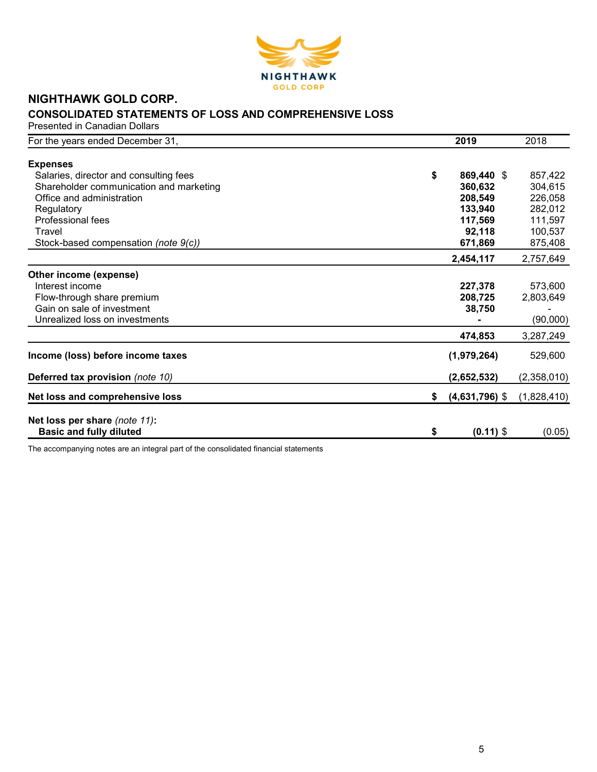

# NIGHTHAWK GOLD CORP. CONSOLIDATED STATEMENTS OF LOSS AND COMPREHENSIVE LOSS

Presented in Canadian Dollars

| For the years ended December 31,        | 2019                   | 2018        |
|-----------------------------------------|------------------------|-------------|
|                                         |                        |             |
| <b>Expenses</b>                         |                        |             |
| Salaries, director and consulting fees  | \$<br>869,440 \$       | 857,422     |
| Shareholder communication and marketing | 360,632                | 304,615     |
| Office and administration               | 208,549                | 226,058     |
| Regulatory                              | 133,940                | 282,012     |
| Professional fees                       | 117,569                | 111,597     |
| Travel                                  | 92,118                 | 100,537     |
| Stock-based compensation (note 9(c))    | 671,869                | 875,408     |
|                                         | 2,454,117              | 2,757,649   |
| Other income (expense)                  |                        |             |
| Interest income                         | 227,378                | 573,600     |
| Flow-through share premium              | 208,725                | 2,803,649   |
| Gain on sale of investment              | 38,750                 |             |
| Unrealized loss on investments          |                        | (90,000)    |
|                                         | 474,853                | 3,287,249   |
| Income (loss) before income taxes       | (1,979,264)            | 529,600     |
| Deferred tax provision (note 10)        | (2,652,532)            | (2,358,010) |
| Net loss and comprehensive loss         | \$<br>$(4,631,796)$ \$ | (1,828,410) |
| Net loss per share (note 11):           |                        |             |
| <b>Basic and fully diluted</b>          | \$<br>$(0.11)$ \$      | (0.05)      |

The accompanying notes are an integral part of the consolidated financial statements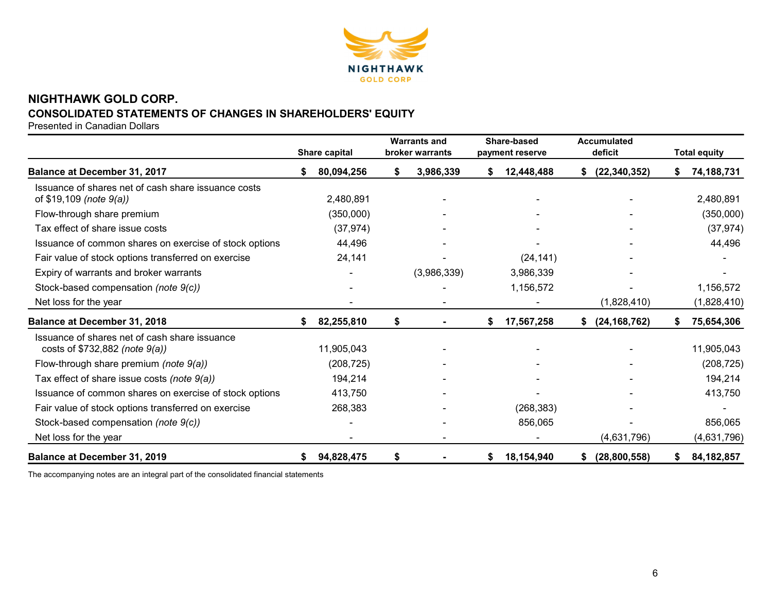

# NIGHTHAWK GOLD CORP. CONSOLIDATED STATEMENTS OF CHANGES IN SHAREHOLDERS' EQUITY

Presented in Canadian Dollars

|                                                                                     | Share capital |    | <b>Warrants and</b><br>broker warrants |    | Share-based<br>payment reserve |    | <b>Accumulated</b><br>deficit | <b>Total equity</b> |
|-------------------------------------------------------------------------------------|---------------|----|----------------------------------------|----|--------------------------------|----|-------------------------------|---------------------|
| Balance at December 31, 2017                                                        | 80,094,256    | S  | 3,986,339                              | S. | 12,448,488                     | S. | (22, 340, 352)                | 74,188,731          |
| Issuance of shares net of cash share issuance costs<br>of $$19,109$ (note $9(a)$ )  | 2,480,891     |    |                                        |    |                                |    |                               | 2,480,891           |
| Flow-through share premium                                                          | (350,000)     |    |                                        |    |                                |    |                               | (350,000)           |
| Tax effect of share issue costs                                                     | (37, 974)     |    |                                        |    |                                |    |                               | (37, 974)           |
| Issuance of common shares on exercise of stock options                              | 44,496        |    |                                        |    |                                |    |                               | 44,496              |
| Fair value of stock options transferred on exercise                                 | 24,141        |    |                                        |    | (24, 141)                      |    |                               |                     |
| Expiry of warrants and broker warrants                                              |               |    | (3,986,339)                            |    | 3,986,339                      |    |                               |                     |
| Stock-based compensation (note 9(c))                                                |               |    |                                        |    | 1,156,572                      |    |                               | 1,156,572           |
| Net loss for the year                                                               |               |    |                                        |    |                                |    | (1,828,410)                   | (1,828,410)         |
| <b>Balance at December 31, 2018</b>                                                 | 82,255,810    | \$ |                                        | \$ | 17,567,258                     | \$ | (24, 168, 762)                | 75,654,306          |
| Issuance of shares net of cash share issuance<br>costs of $$732,882$ (note $9(a)$ ) | 11,905,043    |    |                                        |    | $\overline{\phantom{a}}$       |    |                               | 11,905,043          |
| Flow-through share premium (note 9(a))                                              | (208, 725)    |    |                                        |    |                                |    |                               | (208, 725)          |
| Tax effect of share issue costs (note $9(a)$ )                                      | 194,214       |    |                                        |    |                                |    |                               | 194,214             |
| Issuance of common shares on exercise of stock options                              | 413,750       |    |                                        |    |                                |    |                               | 413,750             |
| Fair value of stock options transferred on exercise                                 | 268,383       |    |                                        |    | (268, 383)                     |    |                               |                     |
| Stock-based compensation (note 9(c))                                                |               |    |                                        |    | 856,065                        |    |                               | 856,065             |
| Net loss for the year                                                               |               |    |                                        |    |                                |    | (4,631,796)                   | (4,631,796)         |
| Balance at December 31, 2019                                                        | 94,828,475    | \$ |                                        | S. | 18,154,940                     |    | (28, 800, 558)                | 84, 182, 857        |

The accompanying notes are an integral part of the consolidated financial statements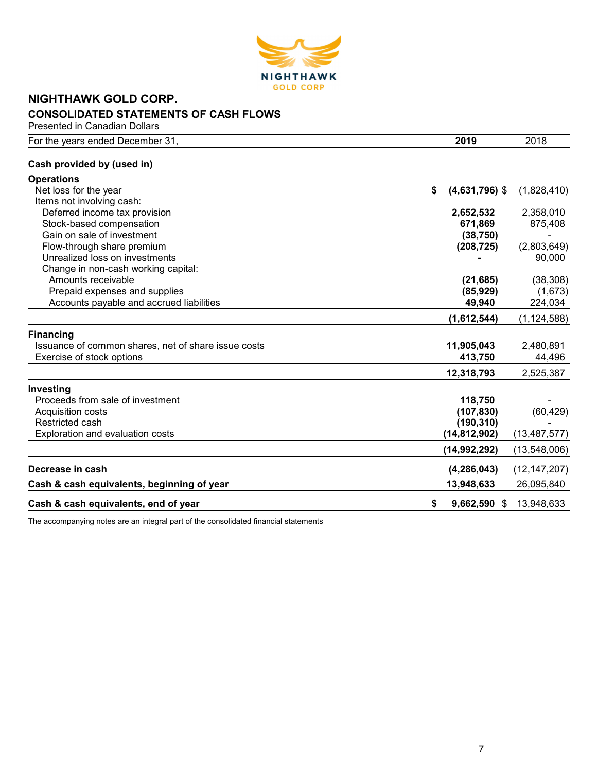

# NIGHTHAWK GOLD CORP. CONSOLIDATED STATEMENTS OF CASH FLOWS

Presented in Canadian Dollars

| For the years ended December 31,                    | 2019 |                  | 2018           |
|-----------------------------------------------------|------|------------------|----------------|
| Cash provided by (used in)                          |      |                  |                |
| <b>Operations</b>                                   |      |                  |                |
| Net loss for the year                               | \$   | $(4,631,796)$ \$ | (1,828,410)    |
| Items not involving cash:                           |      |                  |                |
| Deferred income tax provision                       |      | 2,652,532        | 2,358,010      |
| Stock-based compensation                            |      | 671,869          | 875,408        |
| Gain on sale of investment                          |      | (38, 750)        |                |
| Flow-through share premium                          |      | (208, 725)       | (2,803,649)    |
| Unrealized loss on investments                      |      |                  | 90,000         |
| Change in non-cash working capital:                 |      |                  |                |
| Amounts receivable                                  |      | (21, 685)        | (38, 308)      |
| Prepaid expenses and supplies                       |      | (85, 929)        | (1,673)        |
| Accounts payable and accrued liabilities            |      | 49,940           | 224,034        |
|                                                     |      | (1,612,544)      | (1, 124, 588)  |
| <b>Financing</b>                                    |      |                  |                |
| Issuance of common shares, net of share issue costs |      | 11,905,043       | 2,480,891      |
| Exercise of stock options                           |      | 413,750          | 44,496         |
|                                                     |      | 12,318,793       | 2,525,387      |
| <b>Investing</b>                                    |      |                  |                |
| Proceeds from sale of investment                    |      | 118,750          |                |
| Acquisition costs                                   |      | (107, 830)       | (60, 429)      |
| Restricted cash                                     |      | (190, 310)       |                |
| Exploration and evaluation costs                    |      | (14,812,902)     | (13, 487, 577) |
|                                                     |      | (14,992,292)     | (13,548,006)   |
| Decrease in cash                                    |      | (4, 286, 043)    | (12, 147, 207) |
| Cash & cash equivalents, beginning of year          |      | 13,948,633       | 26,095,840     |
| Cash & cash equivalents, end of year                | \$   | 9,662,590 \$     | 13,948,633     |

The accompanying notes are an integral part of the consolidated financial statements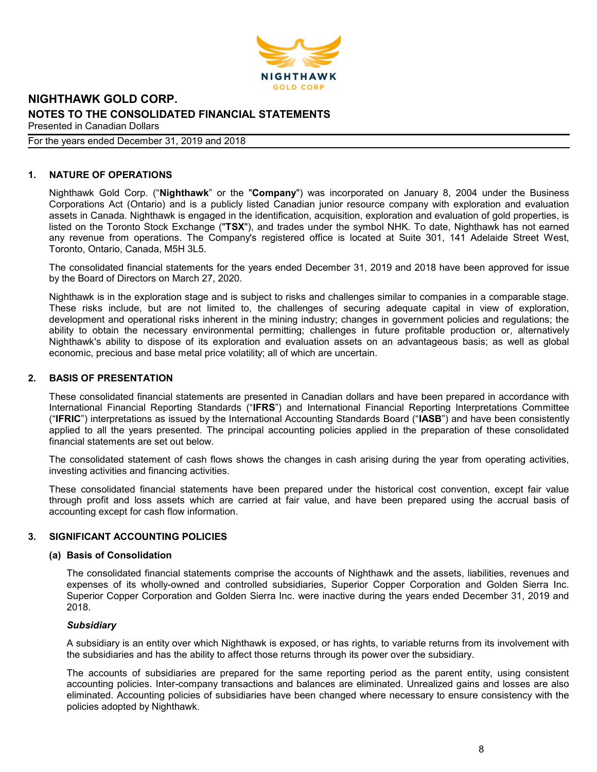

#### For the years ended December 31, 2019 and 2018

## 1. NATURE OF OPERATIONS

Nighthawk Gold Corp. ("Nighthawk" or the "Company") was incorporated on January 8, 2004 under the Business Corporations Act (Ontario) and is a publicly listed Canadian junior resource company with exploration and evaluation assets in Canada. Nighthawk is engaged in the identification, acquisition, exploration and evaluation of gold properties, is listed on the Toronto Stock Exchange ("TSX"), and trades under the symbol NHK. To date, Nighthawk has not earned any revenue from operations. The Company's registered office is located at Suite 301, 141 Adelaide Street West, Toronto, Ontario, Canada, M5H 3L5.

The consolidated financial statements for the years ended December 31, 2019 and 2018 have been approved for issue by the Board of Directors on March 27, 2020.

Nighthawk is in the exploration stage and is subject to risks and challenges similar to companies in a comparable stage. These risks include, but are not limited to, the challenges of securing adequate capital in view of exploration, development and operational risks inherent in the mining industry; changes in government policies and regulations; the ability to obtain the necessary environmental permitting; challenges in future profitable production or, alternatively Nighthawk's ability to dispose of its exploration and evaluation assets on an advantageous basis; as well as global economic, precious and base metal price volatility; all of which are uncertain.

## 2. BASIS OF PRESENTATION

These consolidated financial statements are presented in Canadian dollars and have been prepared in accordance with International Financial Reporting Standards ("IFRS") and International Financial Reporting Interpretations Committee ("IFRIC") interpretations as issued by the International Accounting Standards Board ("IASB") and have been consistently applied to all the years presented. The principal accounting policies applied in the preparation of these consolidated financial statements are set out below.

The consolidated statement of cash flows shows the changes in cash arising during the year from operating activities, investing activities and financing activities.

These consolidated financial statements have been prepared under the historical cost convention, except fair value through profit and loss assets which are carried at fair value, and have been prepared using the accrual basis of accounting except for cash flow information.

# 3. SIGNIFICANT ACCOUNTING POLICIES

#### (a) Basis of Consolidation

The consolidated financial statements comprise the accounts of Nighthawk and the assets, liabilities, revenues and expenses of its wholly-owned and controlled subsidiaries, Superior Copper Corporation and Golden Sierra Inc. Superior Copper Corporation and Golden Sierra Inc. were inactive during the years ended December 31, 2019 and 2018.

#### **Subsidiary**

A subsidiary is an entity over which Nighthawk is exposed, or has rights, to variable returns from its involvement with the subsidiaries and has the ability to affect those returns through its power over the subsidiary.

The accounts of subsidiaries are prepared for the same reporting period as the parent entity, using consistent accounting policies. Inter-company transactions and balances are eliminated. Unrealized gains and losses are also eliminated. Accounting policies of subsidiaries have been changed where necessary to ensure consistency with the policies adopted by Nighthawk.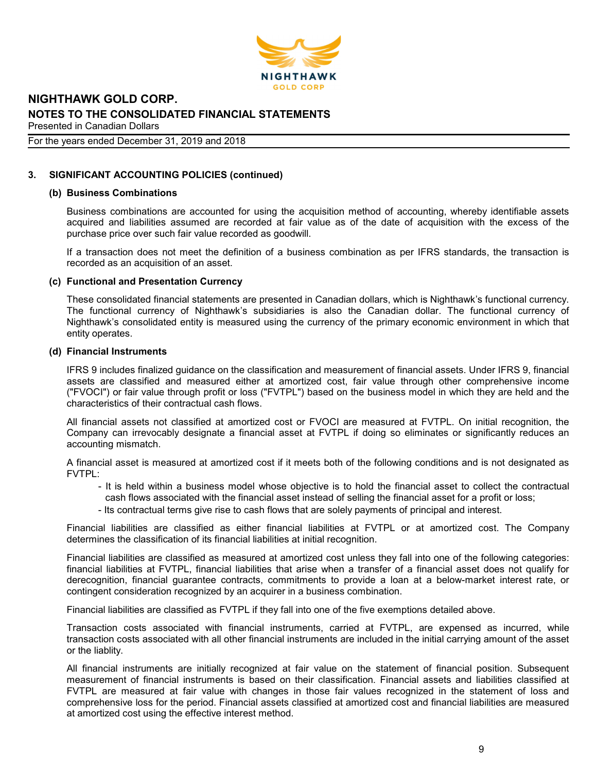

### For the years ended December 31, 2019 and 2018

# 3. SIGNIFICANT ACCOUNTING POLICIES (continued)

#### (b) Business Combinations

Business combinations are accounted for using the acquisition method of accounting, whereby identifiable assets acquired and liabilities assumed are recorded at fair value as of the date of acquisition with the excess of the purchase price over such fair value recorded as goodwill.

If a transaction does not meet the definition of a business combination as per IFRS standards, the transaction is recorded as an acquisition of an asset.

#### (c) Functional and Presentation Currency

These consolidated financial statements are presented in Canadian dollars, which is Nighthawk's functional currency. The functional currency of Nighthawk's subsidiaries is also the Canadian dollar. The functional currency of Nighthawk's consolidated entity is measured using the currency of the primary economic environment in which that entity operates.

#### (d) Financial Instruments

IFRS 9 includes finalized guidance on the classification and measurement of financial assets. Under IFRS 9, financial assets are classified and measured either at amortized cost, fair value through other comprehensive income ("FVOCI") or fair value through profit or loss ("FVTPL") based on the business model in which they are held and the characteristics of their contractual cash flows.

All financial assets not classified at amortized cost or FVOCI are measured at FVTPL. On initial recognition, the Company can irrevocably designate a financial asset at FVTPL if doing so eliminates or significantly reduces an accounting mismatch.

A financial asset is measured at amortized cost if it meets both of the following conditions and is not designated as FVTPL:

- It is held within a business model whose objective is to hold the financial asset to collect the contractual cash flows associated with the financial asset instead of selling the financial asset for a profit or loss;
- Its contractual terms give rise to cash flows that are solely payments of principal and interest.

Financial liabilities are classified as either financial liabilities at FVTPL or at amortized cost. The Company determines the classification of its financial liabilities at initial recognition.

Financial liabilities are classified as measured at amortized cost unless they fall into one of the following categories: financial liabilities at FVTPL, financial liabilities that arise when a transfer of a financial asset does not qualify for derecognition, financial guarantee contracts, commitments to provide a loan at a below-market interest rate, or contingent consideration recognized by an acquirer in a business combination.

Financial liabilities are classified as FVTPL if they fall into one of the five exemptions detailed above.

Transaction costs associated with financial instruments, carried at FVTPL, are expensed as incurred, while transaction costs associated with all other financial instruments are included in the initial carrying amount of the asset or the liablity.

All financial instruments are initially recognized at fair value on the statement of financial position. Subsequent measurement of financial instruments is based on their classification. Financial assets and liabilities classified at FVTPL are measured at fair value with changes in those fair values recognized in the statement of loss and comprehensive loss for the period. Financial assets classified at amortized cost and financial liabilities are measured at amortized cost using the effective interest method.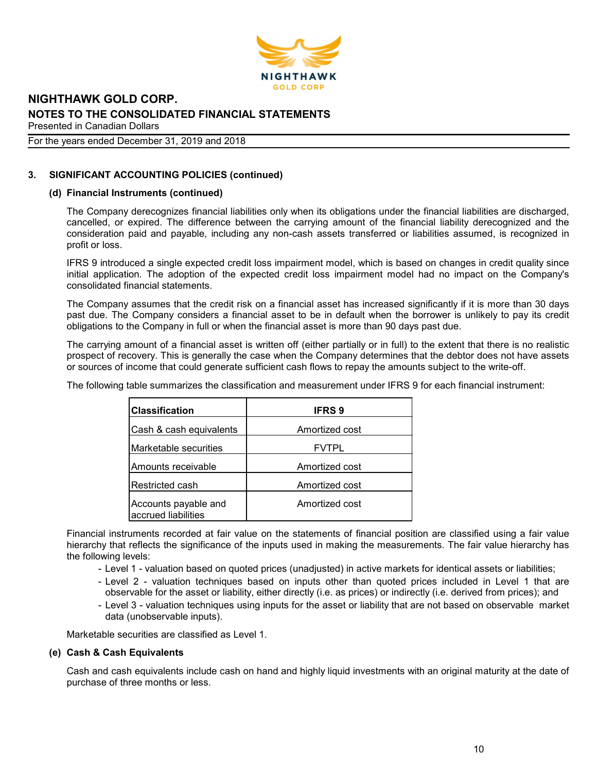

#### For the years ended December 31, 2019 and 2018

# 3. SIGNIFICANT ACCOUNTING POLICIES (continued)

## (d) Financial Instruments (continued)

The Company derecognizes financial liabilities only when its obligations under the financial liabilities are discharged, cancelled, or expired. The difference between the carrying amount of the financial liability derecognized and the consideration paid and payable, including any non-cash assets transferred or liabilities assumed, is recognized in profit or loss.

IFRS 9 introduced a single expected credit loss impairment model, which is based on changes in credit quality since initial application. The adoption of the expected credit loss impairment model had no impact on the Company's consolidated financial statements.

The Company assumes that the credit risk on a financial asset has increased significantly if it is more than 30 days past due. The Company considers a financial asset to be in default when the borrower is unlikely to pay its credit obligations to the Company in full or when the financial asset is more than 90 days past due.

The carrying amount of a financial asset is written off (either partially or in full) to the extent that there is no realistic prospect of recovery. This is generally the case when the Company determines that the debtor does not have assets or sources of income that could generate sufficient cash flows to repay the amounts subject to the write-off.

The following table summarizes the classification and measurement under IFRS 9 for each financial instrument:

| <b>Classification</b>                       | <b>IFRS 9</b>  |
|---------------------------------------------|----------------|
| Cash & cash equivalents                     | Amortized cost |
| lMarketable securities                      | <b>FVTPL</b>   |
| Amounts receivable                          | Amortized cost |
| lRestricted cash                            | Amortized cost |
| Accounts payable and<br>accrued liabilities | Amortized cost |

Financial instruments recorded at fair value on the statements of financial position are classified using a fair value hierarchy that reflects the significance of the inputs used in making the measurements. The fair value hierarchy has the following levels:

- Level 1 valuation based on quoted prices (unadjusted) in active markets for identical assets or liabilities;
- Level 2 valuation techniques based on inputs other than quoted prices included in Level 1 that are observable for the asset or liability, either directly (i.e. as prices) or indirectly (i.e. derived from prices); and
- Level 3 valuation techniques using inputs for the asset or liability that are not based on observable market data (unobservable inputs).

Marketable securities are classified as Level 1.

#### (e) Cash & Cash Equivalents

Cash and cash equivalents include cash on hand and highly liquid investments with an original maturity at the date of purchase of three months or less.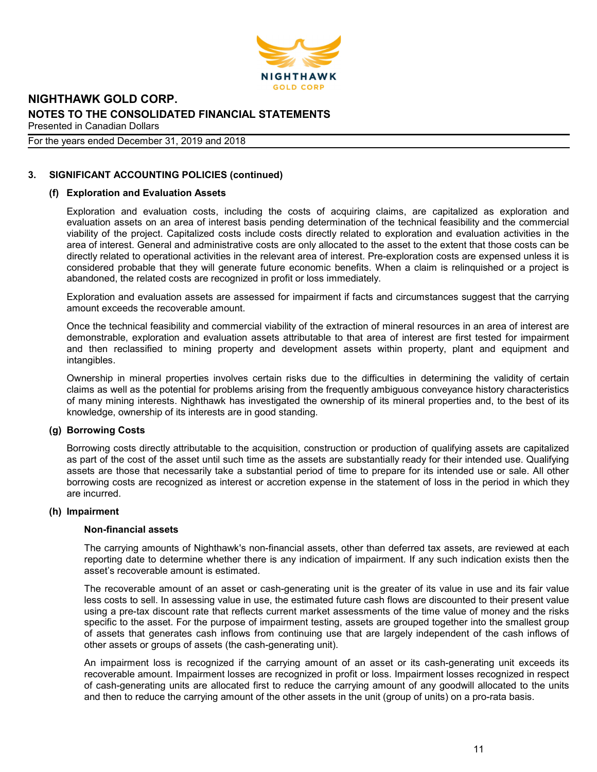

### For the years ended December 31, 2019 and 2018

# 3. SIGNIFICANT ACCOUNTING POLICIES (continued)

## (f) Exploration and Evaluation Assets

Exploration and evaluation costs, including the costs of acquiring claims, are capitalized as exploration and evaluation assets on an area of interest basis pending determination of the technical feasibility and the commercial viability of the project. Capitalized costs include costs directly related to exploration and evaluation activities in the area of interest. General and administrative costs are only allocated to the asset to the extent that those costs can be directly related to operational activities in the relevant area of interest. Pre-exploration costs are expensed unless it is considered probable that they will generate future economic benefits. When a claim is relinquished or a project is abandoned, the related costs are recognized in profit or loss immediately.

Exploration and evaluation assets are assessed for impairment if facts and circumstances suggest that the carrying amount exceeds the recoverable amount.

Once the technical feasibility and commercial viability of the extraction of mineral resources in an area of interest are demonstrable, exploration and evaluation assets attributable to that area of interest are first tested for impairment and then reclassified to mining property and development assets within property, plant and equipment and intangibles.

Ownership in mineral properties involves certain risks due to the difficulties in determining the validity of certain claims as well as the potential for problems arising from the frequently ambiguous conveyance history characteristics of many mining interests. Nighthawk has investigated the ownership of its mineral properties and, to the best of its knowledge, ownership of its interests are in good standing.

## (g) Borrowing Costs

Borrowing costs directly attributable to the acquisition, construction or production of qualifying assets are capitalized as part of the cost of the asset until such time as the assets are substantially ready for their intended use. Qualifying assets are those that necessarily take a substantial period of time to prepare for its intended use or sale. All other borrowing costs are recognized as interest or accretion expense in the statement of loss in the period in which they are incurred.

#### (h) Impairment

#### Non-financial assets

The carrying amounts of Nighthawk's non-financial assets, other than deferred tax assets, are reviewed at each reporting date to determine whether there is any indication of impairment. If any such indication exists then the asset's recoverable amount is estimated.

The recoverable amount of an asset or cash-generating unit is the greater of its value in use and its fair value less costs to sell. In assessing value in use, the estimated future cash flows are discounted to their present value using a pre-tax discount rate that reflects current market assessments of the time value of money and the risks specific to the asset. For the purpose of impairment testing, assets are grouped together into the smallest group of assets that generates cash inflows from continuing use that are largely independent of the cash inflows of other assets or groups of assets (the cash-generating unit).

An impairment loss is recognized if the carrying amount of an asset or its cash-generating unit exceeds its recoverable amount. Impairment losses are recognized in profit or loss. Impairment losses recognized in respect of cash-generating units are allocated first to reduce the carrying amount of any goodwill allocated to the units and then to reduce the carrying amount of the other assets in the unit (group of units) on a pro-rata basis.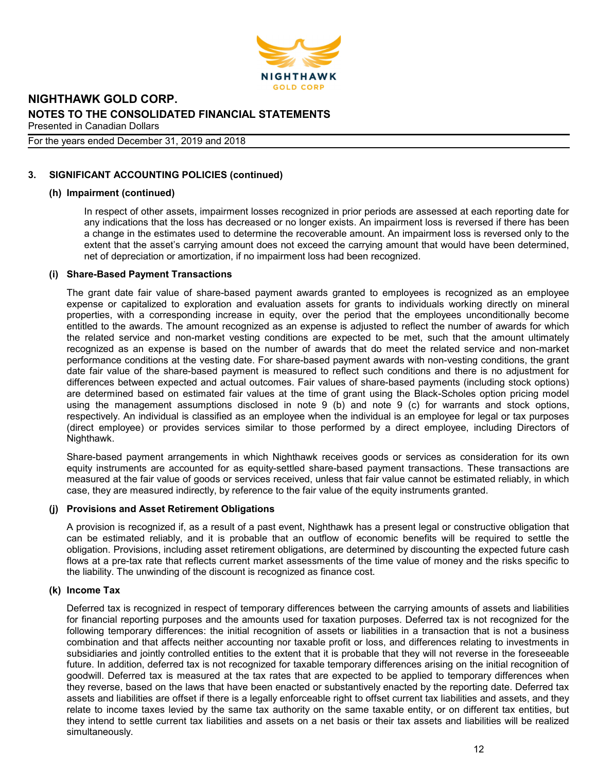

#### For the years ended December 31, 2019 and 2018

# 3. SIGNIFICANT ACCOUNTING POLICIES (continued)

## (h) Impairment (continued)

In respect of other assets, impairment losses recognized in prior periods are assessed at each reporting date for any indications that the loss has decreased or no longer exists. An impairment loss is reversed if there has been a change in the estimates used to determine the recoverable amount. An impairment loss is reversed only to the extent that the asset's carrying amount does not exceed the carrying amount that would have been determined, net of depreciation or amortization, if no impairment loss had been recognized.

## (i) Share-Based Payment Transactions

The grant date fair value of share-based payment awards granted to employees is recognized as an employee expense or capitalized to exploration and evaluation assets for grants to individuals working directly on mineral properties, with a corresponding increase in equity, over the period that the employees unconditionally become entitled to the awards. The amount recognized as an expense is adjusted to reflect the number of awards for which the related service and non-market vesting conditions are expected to be met, such that the amount ultimately recognized as an expense is based on the number of awards that do meet the related service and non-market performance conditions at the vesting date. For share-based payment awards with non-vesting conditions, the grant date fair value of the share-based payment is measured to reflect such conditions and there is no adjustment for differences between expected and actual outcomes. Fair values of share-based payments (including stock options) are determined based on estimated fair values at the time of grant using the Black-Scholes option pricing model using the management assumptions disclosed in note 9 (b) and note 9 (c) for warrants and stock options, respectively. An individual is classified as an employee when the individual is an employee for legal or tax purposes (direct employee) or provides services similar to those performed by a direct employee, including Directors of Nighthawk.

Share-based payment arrangements in which Nighthawk receives goods or services as consideration for its own equity instruments are accounted for as equity-settled share-based payment transactions. These transactions are measured at the fair value of goods or services received, unless that fair value cannot be estimated reliably, in which case, they are measured indirectly, by reference to the fair value of the equity instruments granted.

## (j) Provisions and Asset Retirement Obligations

A provision is recognized if, as a result of a past event, Nighthawk has a present legal or constructive obligation that can be estimated reliably, and it is probable that an outflow of economic benefits will be required to settle the obligation. Provisions, including asset retirement obligations, are determined by discounting the expected future cash flows at a pre-tax rate that reflects current market assessments of the time value of money and the risks specific to the liability. The unwinding of the discount is recognized as finance cost.

## (k) Income Tax

Deferred tax is recognized in respect of temporary differences between the carrying amounts of assets and liabilities for financial reporting purposes and the amounts used for taxation purposes. Deferred tax is not recognized for the following temporary differences: the initial recognition of assets or liabilities in a transaction that is not a business combination and that affects neither accounting nor taxable profit or loss, and differences relating to investments in subsidiaries and jointly controlled entities to the extent that it is probable that they will not reverse in the foreseeable future. In addition, deferred tax is not recognized for taxable temporary differences arising on the initial recognition of goodwill. Deferred tax is measured at the tax rates that are expected to be applied to temporary differences when they reverse, based on the laws that have been enacted or substantively enacted by the reporting date. Deferred tax assets and liabilities are offset if there is a legally enforceable right to offset current tax liabilities and assets, and they relate to income taxes levied by the same tax authority on the same taxable entity, or on different tax entities, but they intend to settle current tax liabilities and assets on a net basis or their tax assets and liabilities will be realized simultaneously.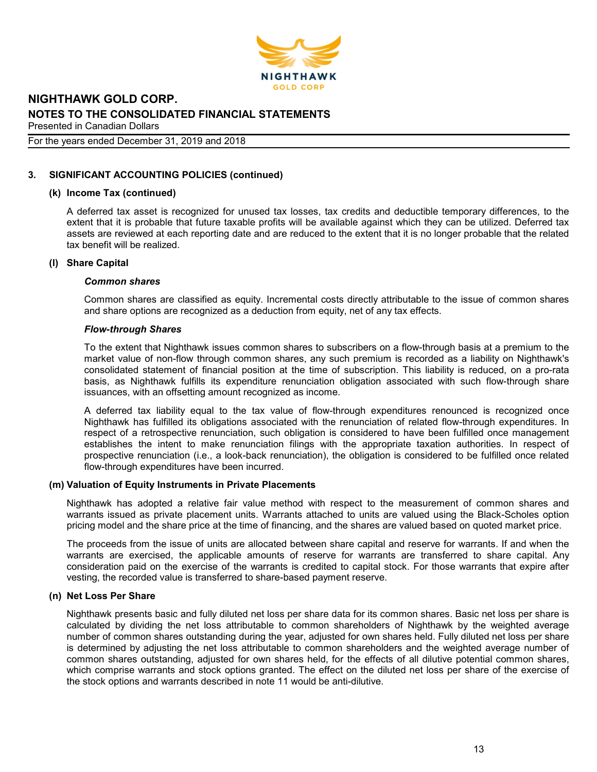

#### For the years ended December 31, 2019 and 2018

# 3. SIGNIFICANT ACCOUNTING POLICIES (continued)

#### (k) Income Tax (continued)

A deferred tax asset is recognized for unused tax losses, tax credits and deductible temporary differences, to the extent that it is probable that future taxable profits will be available against which they can be utilized. Deferred tax assets are reviewed at each reporting date and are reduced to the extent that it is no longer probable that the related tax benefit will be realized.

#### (l) Share Capital

#### Common shares

Common shares are classified as equity. Incremental costs directly attributable to the issue of common shares and share options are recognized as a deduction from equity, net of any tax effects.

#### Flow-through Shares

To the extent that Nighthawk issues common shares to subscribers on a flow-through basis at a premium to the market value of non-flow through common shares, any such premium is recorded as a liability on Nighthawk's consolidated statement of financial position at the time of subscription. This liability is reduced, on a pro-rata basis, as Nighthawk fulfills its expenditure renunciation obligation associated with such flow-through share issuances, with an offsetting amount recognized as income.

A deferred tax liability equal to the tax value of flow-through expenditures renounced is recognized once Nighthawk has fulfilled its obligations associated with the renunciation of related flow-through expenditures. In respect of a retrospective renunciation, such obligation is considered to have been fulfilled once management establishes the intent to make renunciation filings with the appropriate taxation authorities. In respect of prospective renunciation (i.e., a look-back renunciation), the obligation is considered to be fulfilled once related flow-through expenditures have been incurred.

## (m) Valuation of Equity Instruments in Private Placements

Nighthawk has adopted a relative fair value method with respect to the measurement of common shares and warrants issued as private placement units. Warrants attached to units are valued using the Black-Scholes option pricing model and the share price at the time of financing, and the shares are valued based on quoted market price.

The proceeds from the issue of units are allocated between share capital and reserve for warrants. If and when the warrants are exercised, the applicable amounts of reserve for warrants are transferred to share capital. Any consideration paid on the exercise of the warrants is credited to capital stock. For those warrants that expire after vesting, the recorded value is transferred to share-based payment reserve.

## (n) Net Loss Per Share

Nighthawk presents basic and fully diluted net loss per share data for its common shares. Basic net loss per share is calculated by dividing the net loss attributable to common shareholders of Nighthawk by the weighted average number of common shares outstanding during the year, adjusted for own shares held. Fully diluted net loss per share is determined by adjusting the net loss attributable to common shareholders and the weighted average number of common shares outstanding, adjusted for own shares held, for the effects of all dilutive potential common shares, which comprise warrants and stock options granted. The effect on the diluted net loss per share of the exercise of the stock options and warrants described in note 11 would be anti-dilutive.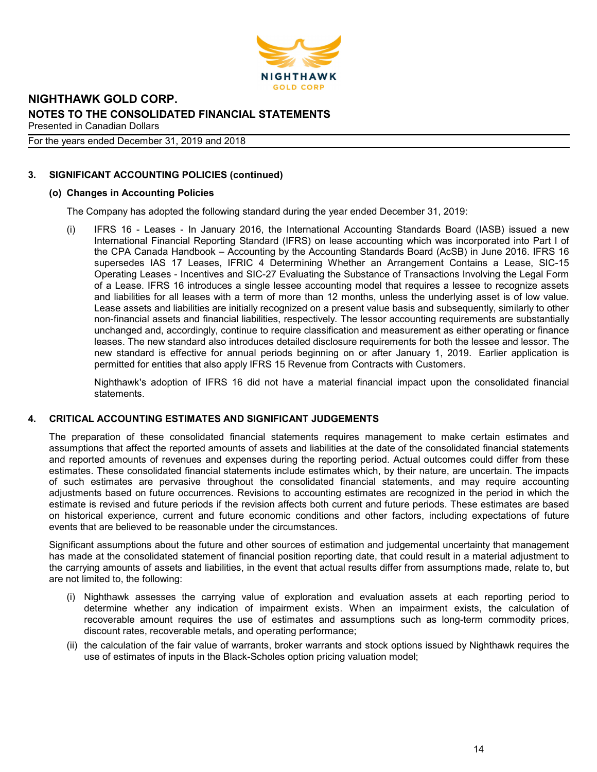

## For the years ended December 31, 2019 and 2018

# 3. SIGNIFICANT ACCOUNTING POLICIES (continued)

# (o) Changes in Accounting Policies

The Company has adopted the following standard during the year ended December 31, 2019:

(i) IFRS 16 - Leases - In January 2016, the International Accounting Standards Board (IASB) issued a new International Financial Reporting Standard (IFRS) on lease accounting which was incorporated into Part I of the CPA Canada Handbook – Accounting by the Accounting Standards Board (AcSB) in June 2016. IFRS 16 supersedes IAS 17 Leases, IFRIC 4 Determining Whether an Arrangement Contains a Lease, SIC-15 Operating Leases - Incentives and SIC-27 Evaluating the Substance of Transactions Involving the Legal Form of a Lease. IFRS 16 introduces a single lessee accounting model that requires a lessee to recognize assets and liabilities for all leases with a term of more than 12 months, unless the underlying asset is of low value. Lease assets and liabilities are initially recognized on a present value basis and subsequently, similarly to other non-financial assets and financial liabilities, respectively. The lessor accounting requirements are substantially unchanged and, accordingly, continue to require classification and measurement as either operating or finance leases. The new standard also introduces detailed disclosure requirements for both the lessee and lessor. The new standard is effective for annual periods beginning on or after January 1, 2019. Earlier application is permitted for entities that also apply IFRS 15 Revenue from Contracts with Customers.

Nighthawk's adoption of IFRS 16 did not have a material financial impact upon the consolidated financial statements.

# 4. CRITICAL ACCOUNTING ESTIMATES AND SIGNIFICANT JUDGEMENTS

The preparation of these consolidated financial statements requires management to make certain estimates and assumptions that affect the reported amounts of assets and liabilities at the date of the consolidated financial statements and reported amounts of revenues and expenses during the reporting period. Actual outcomes could differ from these estimates. These consolidated financial statements include estimates which, by their nature, are uncertain. The impacts of such estimates are pervasive throughout the consolidated financial statements, and may require accounting adjustments based on future occurrences. Revisions to accounting estimates are recognized in the period in which the estimate is revised and future periods if the revision affects both current and future periods. These estimates are based on historical experience, current and future economic conditions and other factors, including expectations of future events that are believed to be reasonable under the circumstances.

Significant assumptions about the future and other sources of estimation and judgemental uncertainty that management has made at the consolidated statement of financial position reporting date, that could result in a material adjustment to the carrying amounts of assets and liabilities, in the event that actual results differ from assumptions made, relate to, but are not limited to, the following:

- (i) Nighthawk assesses the carrying value of exploration and evaluation assets at each reporting period to determine whether any indication of impairment exists. When an impairment exists, the calculation of recoverable amount requires the use of estimates and assumptions such as long-term commodity prices, discount rates, recoverable metals, and operating performance;
- (ii) the calculation of the fair value of warrants, broker warrants and stock options issued by Nighthawk requires the use of estimates of inputs in the Black-Scholes option pricing valuation model;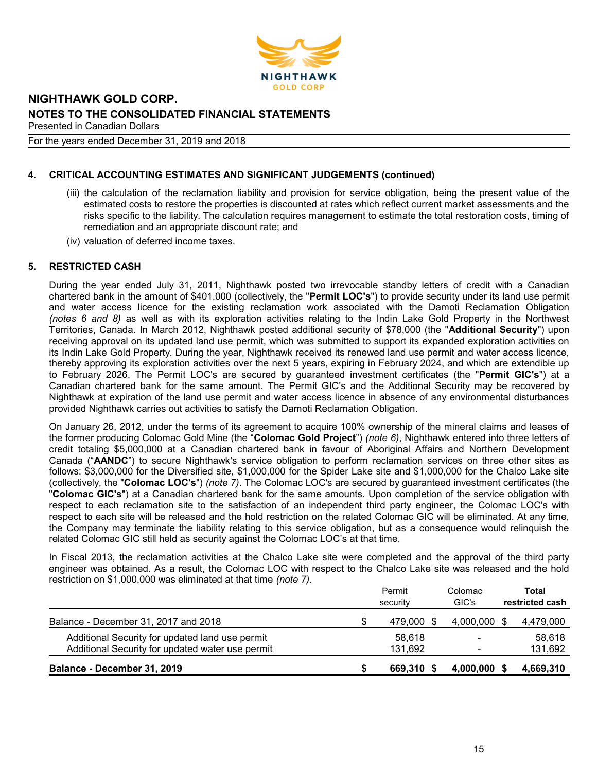

For the years ended December 31, 2019 and 2018

# 4. CRITICAL ACCOUNTING ESTIMATES AND SIGNIFICANT JUDGEMENTS (continued)

- (iii) the calculation of the reclamation liability and provision for service obligation, being the present value of the estimated costs to restore the properties is discounted at rates which reflect current market assessments and the risks specific to the liability. The calculation requires management to estimate the total restoration costs, timing of remediation and an appropriate discount rate; and
- (iv) valuation of deferred income taxes.

# 5. RESTRICTED CASH

During the year ended July 31, 2011, Nighthawk posted two irrevocable standby letters of credit with a Canadian chartered bank in the amount of \$401,000 (collectively, the "Permit LOC's") to provide security under its land use permit and water access licence for the existing reclamation work associated with the Damoti Reclamation Obligation (notes 6 and 8) as well as with its exploration activities relating to the Indin Lake Gold Property in the Northwest Territories, Canada. In March 2012, Nighthawk posted additional security of \$78,000 (the "Additional Security") upon receiving approval on its updated land use permit, which was submitted to support its expanded exploration activities on its Indin Lake Gold Property. During the year, Nighthawk received its renewed land use permit and water access licence, thereby approving its exploration activities over the next 5 years, expiring in February 2024, and which are extendible up to February 2026. The Permit LOC's are secured by guaranteed investment certificates (the "Permit GIC's") at a Canadian chartered bank for the same amount. The Permit GIC's and the Additional Security may be recovered by Nighthawk at expiration of the land use permit and water access licence in absence of any environmental disturbances provided Nighthawk carries out activities to satisfy the Damoti Reclamation Obligation.

On January 26, 2012, under the terms of its agreement to acquire 100% ownership of the mineral claims and leases of the former producing Colomac Gold Mine (the "Colomac Gold Project") (note 6), Nighthawk entered into three letters of credit totaling \$5,000,000 at a Canadian chartered bank in favour of Aboriginal Affairs and Northern Development Canada ("AANDC") to secure Nighthawk's service obligation to perform reclamation services on three other sites as follows: \$3,000,000 for the Diversified site, \$1,000,000 for the Spider Lake site and \$1,000,000 for the Chalco Lake site (collectively, the "Colomac LOC's") (note 7). The Colomac LOC's are secured by guaranteed investment certificates (the "Colomac GIC's") at a Canadian chartered bank for the same amounts. Upon completion of the service obligation with respect to each reclamation site to the satisfaction of an independent third party engineer, the Colomac LOC's with respect to each site will be released and the hold restriction on the related Colomac GIC will be eliminated. At any time, the Company may terminate the liability relating to this service obligation, but as a consequence would relinquish the related Colomac GIC still held as security against the Colomac LOC's at that time.

In Fiscal 2013, the reclamation activities at the Chalco Lake site were completed and the approval of the third party engineer was obtained. As a result, the Colomac LOC with respect to the Chalco Lake site was released and the hold restriction on \$1,000,000 was eliminated at that time (note 7).

|                                                                                                     | Permit<br>security | Colomac<br>GIC's         | Total<br>restricted cash |
|-----------------------------------------------------------------------------------------------------|--------------------|--------------------------|--------------------------|
| Balance - December 31, 2017 and 2018                                                                | 479,000 \$         | $4,000,000$ \$           | 4,479,000                |
| Additional Security for updated land use permit<br>Additional Security for updated water use permit | 58.618<br>131,692  | $\overline{\phantom{0}}$ | 58.618<br>131,692        |
| Balance - December 31, 2019                                                                         | 669,310            | 4,000,000                | 4,669,310                |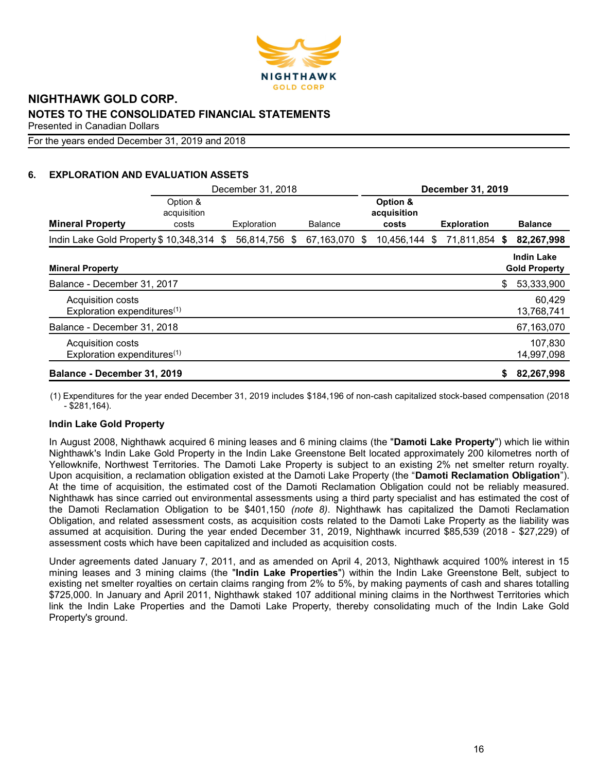

For the years ended December 31, 2019 and 2018

# 6. EXPLORATION AND EVALUATION ASSETS

|                                                              | December 31, 2018                |  |               | December 31, 2019 |                                  |                    |    |                                           |
|--------------------------------------------------------------|----------------------------------|--|---------------|-------------------|----------------------------------|--------------------|----|-------------------------------------------|
| <b>Mineral Property</b>                                      | Option &<br>acquisition<br>costs |  | Exploration   | <b>Balance</b>    | Option &<br>acquisition<br>costs | <b>Exploration</b> |    | <b>Balance</b>                            |
| Indin Lake Gold Property \$10,348,314 \$                     |                                  |  | 56,814,756 \$ | 67,163,070 \$     | 10,456,144 \$                    | 71,811,854 \$      |    | 82,267,998                                |
| <b>Mineral Property</b>                                      |                                  |  |               |                   |                                  |                    |    | <b>Indin Lake</b><br><b>Gold Property</b> |
| Balance - December 31, 2017                                  |                                  |  |               |                   |                                  |                    | \$ | 53,333,900                                |
| Acquisition costs<br>Exploration expenditures <sup>(1)</sup> |                                  |  |               |                   |                                  |                    |    | 60,429<br>13,768,741                      |
| Balance - December 31, 2018                                  |                                  |  |               |                   |                                  |                    |    | 67,163,070                                |
| Acquisition costs<br>Exploration expenditures <sup>(1)</sup> |                                  |  |               |                   |                                  |                    |    | 107,830<br>14,997,098                     |
| Balance - December 31, 2019                                  |                                  |  |               |                   |                                  |                    | \$ | 82,267,998                                |

(1) Expenditures for the year ended December 31, 2019 includes \$184,196 of non-cash capitalized stock-based compensation (2018 - \$281,164).

# Indin Lake Gold Property

In August 2008, Nighthawk acquired 6 mining leases and 6 mining claims (the "Damoti Lake Property") which lie within Nighthawk's Indin Lake Gold Property in the Indin Lake Greenstone Belt located approximately 200 kilometres north of Yellowknife, Northwest Territories. The Damoti Lake Property is subject to an existing 2% net smelter return royalty. Upon acquisition, a reclamation obligation existed at the Damoti Lake Property (the "Damoti Reclamation Obligation"). At the time of acquisition, the estimated cost of the Damoti Reclamation Obligation could not be reliably measured. Nighthawk has since carried out environmental assessments using a third party specialist and has estimated the cost of the Damoti Reclamation Obligation to be \$401,150 (note 8). Nighthawk has capitalized the Damoti Reclamation Obligation, and related assessment costs, as acquisition costs related to the Damoti Lake Property as the liability was assumed at acquisition. During the year ended December 31, 2019, Nighthawk incurred \$85,539 (2018 - \$27,229) of assessment costs which have been capitalized and included as acquisition costs.

Under agreements dated January 7, 2011, and as amended on April 4, 2013, Nighthawk acquired 100% interest in 15 mining leases and 3 mining claims (the "Indin Lake Properties") within the Indin Lake Greenstone Belt, subject to existing net smelter royalties on certain claims ranging from 2% to 5%, by making payments of cash and shares totalling \$725,000. In January and April 2011, Nighthawk staked 107 additional mining claims in the Northwest Territories which link the Indin Lake Properties and the Damoti Lake Property, thereby consolidating much of the Indin Lake Gold Property's ground.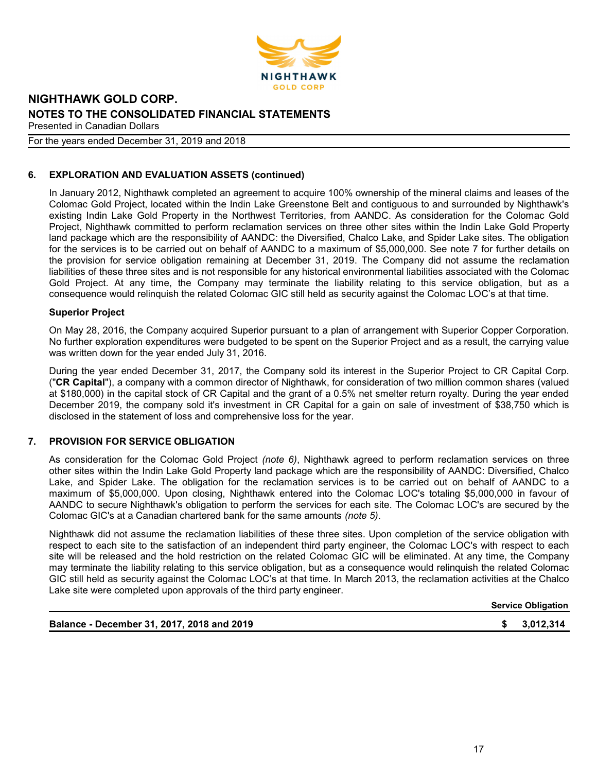

### For the years ended December 31, 2019 and 2018

# 6. EXPLORATION AND EVALUATION ASSETS (continued)

In January 2012, Nighthawk completed an agreement to acquire 100% ownership of the mineral claims and leases of the Colomac Gold Project, located within the Indin Lake Greenstone Belt and contiguous to and surrounded by Nighthawk's existing Indin Lake Gold Property in the Northwest Territories, from AANDC. As consideration for the Colomac Gold Project, Nighthawk committed to perform reclamation services on three other sites within the Indin Lake Gold Property land package which are the responsibility of AANDC: the Diversified, Chalco Lake, and Spider Lake sites. The obligation for the services is to be carried out on behalf of AANDC to a maximum of \$5,000,000. See note 7 for further details on the provision for service obligation remaining at December 31, 2019. The Company did not assume the reclamation liabilities of these three sites and is not responsible for any historical environmental liabilities associated with the Colomac Gold Project. At any time, the Company may terminate the liability relating to this service obligation, but as a consequence would relinquish the related Colomac GIC still held as security against the Colomac LOC's at that time.

## Superior Project

On May 28, 2016, the Company acquired Superior pursuant to a plan of arrangement with Superior Copper Corporation. No further exploration expenditures were budgeted to be spent on the Superior Project and as a result, the carrying value was written down for the year ended July 31, 2016.

During the year ended December 31, 2017, the Company sold its interest in the Superior Project to CR Capital Corp. ("CR Capital"), a company with a common director of Nighthawk, for consideration of two million common shares (valued at \$180,000) in the capital stock of CR Capital and the grant of a 0.5% net smelter return royalty. During the year ended December 2019, the company sold it's investment in CR Capital for a gain on sale of investment of \$38,750 which is disclosed in the statement of loss and comprehensive loss for the year.

# 7. PROVISION FOR SERVICE OBLIGATION

As consideration for the Colomac Gold Project (note 6), Nighthawk agreed to perform reclamation services on three other sites within the Indin Lake Gold Property land package which are the responsibility of AANDC: Diversified, Chalco Lake, and Spider Lake. The obligation for the reclamation services is to be carried out on behalf of AANDC to a maximum of \$5,000,000. Upon closing, Nighthawk entered into the Colomac LOC's totaling \$5,000,000 in favour of AANDC to secure Nighthawk's obligation to perform the services for each site. The Colomac LOC's are secured by the Colomac GIC's at a Canadian chartered bank for the same amounts (note 5).

Nighthawk did not assume the reclamation liabilities of these three sites. Upon completion of the service obligation with respect to each site to the satisfaction of an independent third party engineer, the Colomac LOC's with respect to each site will be released and the hold restriction on the related Colomac GIC will be eliminated. At any time, the Company may terminate the liability relating to this service obligation, but as a consequence would relinquish the related Colomac GIC still held as security against the Colomac LOC's at that time. In March 2013, the reclamation activities at the Chalco Lake site were completed upon approvals of the third party engineer.

Service Obligation

#### Balance - December 31, 2017, 2018 and 2019 **\$ 3,012,314 \$ 3,012,314**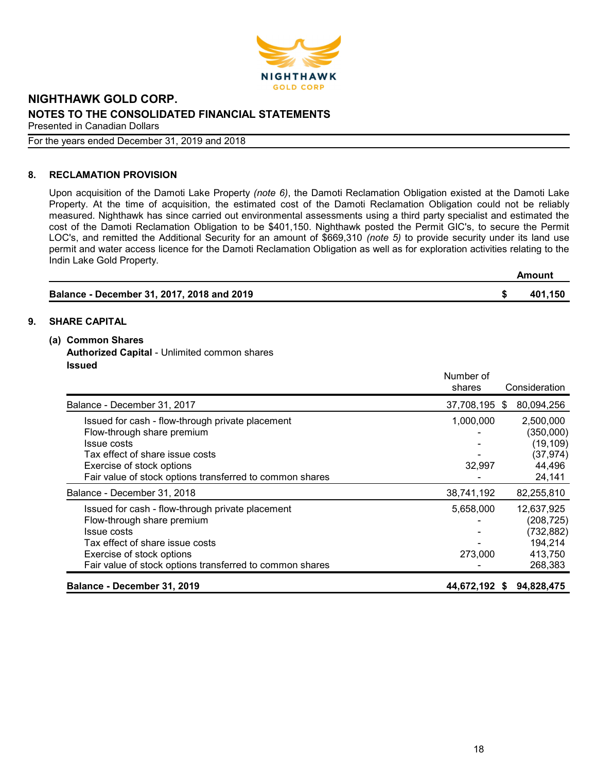

For the years ended December 31, 2019 and 2018

# 8. RECLAMATION PROVISION

Upon acquisition of the Damoti Lake Property (note 6), the Damoti Reclamation Obligation existed at the Damoti Lake Property. At the time of acquisition, the estimated cost of the Damoti Reclamation Obligation could not be reliably measured. Nighthawk has since carried out environmental assessments using a third party specialist and estimated the cost of the Damoti Reclamation Obligation to be \$401,150. Nighthawk posted the Permit GIC's, to secure the Permit LOC's, and remitted the Additional Security for an amount of \$669,310 (note 5) to provide security under its land use permit and water access licence for the Damoti Reclamation Obligation as well as for exploration activities relating to the Indin Lake Gold Property. Amount

|                                            | Amount  |
|--------------------------------------------|---------|
| Balance - December 31, 2017, 2018 and 2019 | 401.150 |

# 9. SHARE CAPITAL

- (a) Common Shares
	- Authorized Capital Unlimited common shares Issued

|                                                          | Number of     |               |
|----------------------------------------------------------|---------------|---------------|
|                                                          | shares        | Consideration |
| Balance - December 31, 2017                              | 37,708,195 \$ | 80,094,256    |
| Issued for cash - flow-through private placement         | 1,000,000     | 2,500,000     |
| Flow-through share premium                               |               | (350,000)     |
| Issue costs                                              |               | (19, 109)     |
| Tax effect of share issue costs                          |               | (37, 974)     |
| Exercise of stock options                                | 32,997        | 44,496        |
| Fair value of stock options transferred to common shares |               | 24,141        |
| Balance - December 31, 2018                              | 38,741,192    | 82,255,810    |
| Issued for cash - flow-through private placement         | 5,658,000     | 12,637,925    |
| Flow-through share premium                               |               | (208, 725)    |
| Issue costs                                              |               | (732, 882)    |
| Tax effect of share issue costs                          |               | 194,214       |
| Exercise of stock options                                | 273,000       | 413,750       |
| Fair value of stock options transferred to common shares |               | 268,383       |
| Balance - December 31, 2019                              | 44,672,192 \$ | 94,828,475    |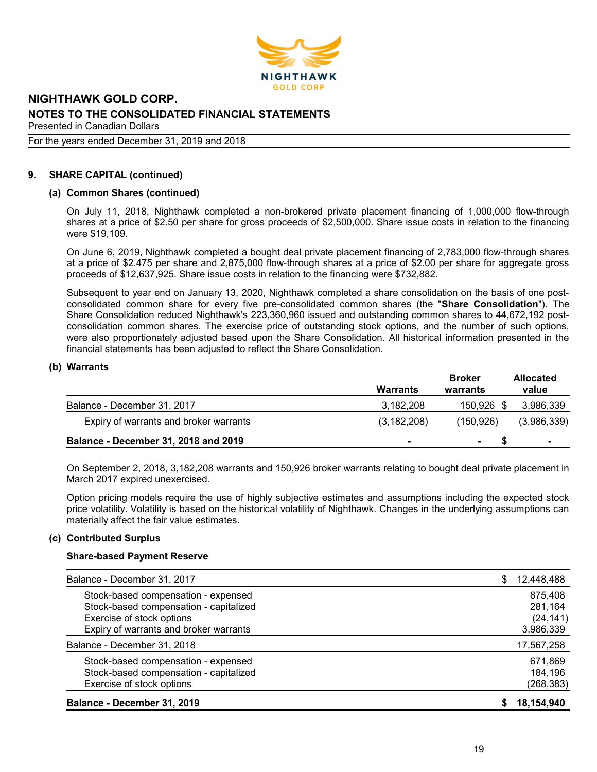

#### For the years ended December 31, 2019 and 2018

#### 9. SHARE CAPITAL (continued)

#### (a) Common Shares (continued)

On July 11, 2018, Nighthawk completed a non-brokered private placement financing of 1,000,000 flow-through shares at a price of \$2.50 per share for gross proceeds of \$2,500,000. Share issue costs in relation to the financing were \$19,109.

On June 6, 2019, Nighthawk completed a bought deal private placement financing of 2,783,000 flow-through shares at a price of \$2.475 per share and 2,875,000 flow-through shares at a price of \$2.00 per share for aggregate gross proceeds of \$12,637,925. Share issue costs in relation to the financing were \$732,882.

Subsequent to year end on January 13, 2020, Nighthawk completed a share consolidation on the basis of one postconsolidated common share for every five pre-consolidated common shares (the "Share Consolidation"). The Share Consolidation reduced Nighthawk's 223,360,960 issued and outstanding common shares to 44,672,192 postconsolidation common shares. The exercise price of outstanding stock options, and the number of such options, were also proportionately adjusted based upon the Share Consolidation. All historical information presented in the financial statements has been adjusted to reflect the Share Consolidation.

#### (b) Warrants

|                                        | Warrants      | <b>Broker</b><br>warrants | <b>Allocated</b><br>value |
|----------------------------------------|---------------|---------------------------|---------------------------|
| Balance - December 31, 2017            | 3,182,208     | 150.926 \$                | 3,986,339                 |
| Expiry of warrants and broker warrants | (3, 182, 208) | (150.926)                 | (3,986,339)               |
| Balance - December 31, 2018 and 2019   |               | $\blacksquare$            |                           |

On September 2, 2018, 3,182,208 warrants and 150,926 broker warrants relating to bought deal private placement in March 2017 expired unexercised.

Option pricing models require the use of highly subjective estimates and assumptions including the expected stock price volatility. Volatility is based on the historical volatility of Nighthawk. Changes in the underlying assumptions can materially affect the fair value estimates.

#### (c) Contributed Surplus

#### Share-based Payment Reserve

| Balance - December 31, 2019            |   | 18,154,940 |
|----------------------------------------|---|------------|
| Exercise of stock options              |   | (268, 383) |
| Stock-based compensation - capitalized |   | 184,196    |
| Stock-based compensation - expensed    |   | 671,869    |
| Balance - December 31, 2018            |   | 17,567,258 |
| Expiry of warrants and broker warrants |   | 3,986,339  |
| Exercise of stock options              |   | (24, 141)  |
| Stock-based compensation - capitalized |   | 281,164    |
| Stock-based compensation - expensed    |   | 875,408    |
| Balance - December 31, 2017            | S | 12,448,488 |
|                                        |   |            |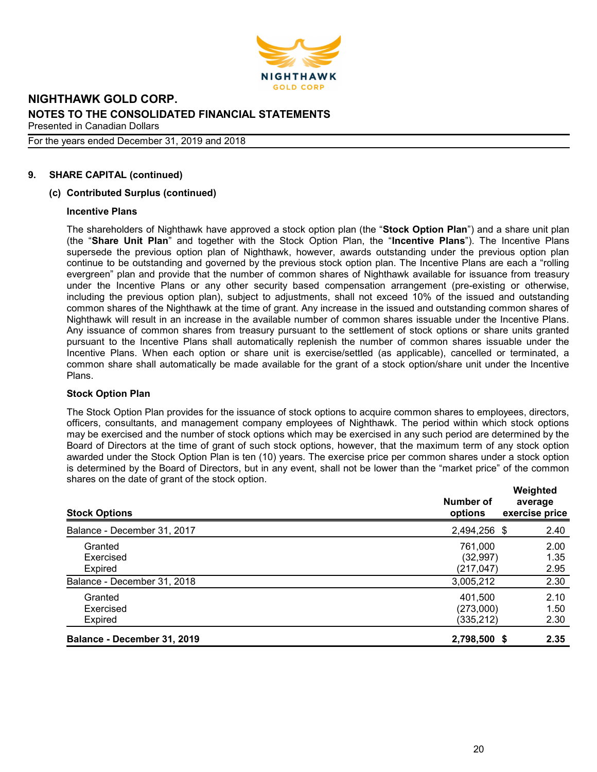

For the years ended December 31, 2019 and 2018

# 9. SHARE CAPITAL (continued)

# (c) Contributed Surplus (continued)

## Incentive Plans

The shareholders of Nighthawk have approved a stock option plan (the "Stock Option Plan") and a share unit plan (the "Share Unit Plan" and together with the Stock Option Plan, the "Incentive Plans"). The Incentive Plans supersede the previous option plan of Nighthawk, however, awards outstanding under the previous option plan continue to be outstanding and governed by the previous stock option plan. The Incentive Plans are each a "rolling evergreen" plan and provide that the number of common shares of Nighthawk available for issuance from treasury under the Incentive Plans or any other security based compensation arrangement (pre-existing or otherwise, including the previous option plan), subject to adjustments, shall not exceed 10% of the issued and outstanding common shares of the Nighthawk at the time of grant. Any increase in the issued and outstanding common shares of Nighthawk will result in an increase in the available number of common shares issuable under the Incentive Plans. Any issuance of common shares from treasury pursuant to the settlement of stock options or share units granted pursuant to the Incentive Plans shall automatically replenish the number of common shares issuable under the Incentive Plans. When each option or share unit is exercise/settled (as applicable), cancelled or terminated, a common share shall automatically be made available for the grant of a stock option/share unit under the Incentive Plans.

## Stock Option Plan

The Stock Option Plan provides for the issuance of stock options to acquire common shares to employees, directors, officers, consultants, and management company employees of Nighthawk. The period within which stock options may be exercised and the number of stock options which may be exercised in any such period are determined by the Board of Directors at the time of grant of such stock options, however, that the maximum term of any stock option awarded under the Stock Option Plan is ten (10) years. The exercise price per common shares under a stock option is determined by the Board of Directors, but in any event, shall not be lower than the "market price" of the common shares on the date of grant of the stock option. Weighted

| <b>Stock Options</b>        | Number of<br>options | <i>v</i> eignted<br>average<br>exercise price |
|-----------------------------|----------------------|-----------------------------------------------|
| Balance - December 31, 2017 | 2,494,256 \$         | 2.40                                          |
| Granted                     | 761,000              | 2.00                                          |
| Exercised                   | (32, 997)            | 1.35                                          |
| Expired                     | (217, 047)           | 2.95                                          |
| Balance - December 31, 2018 | 3,005,212            | 2.30                                          |
| Granted                     | 401.500              | 2.10                                          |
| Exercised                   | (273,000)            | 1.50                                          |
| Expired                     | (335,212)            | 2.30                                          |
| Balance - December 31, 2019 | 2,798,500 \$         | 2.35                                          |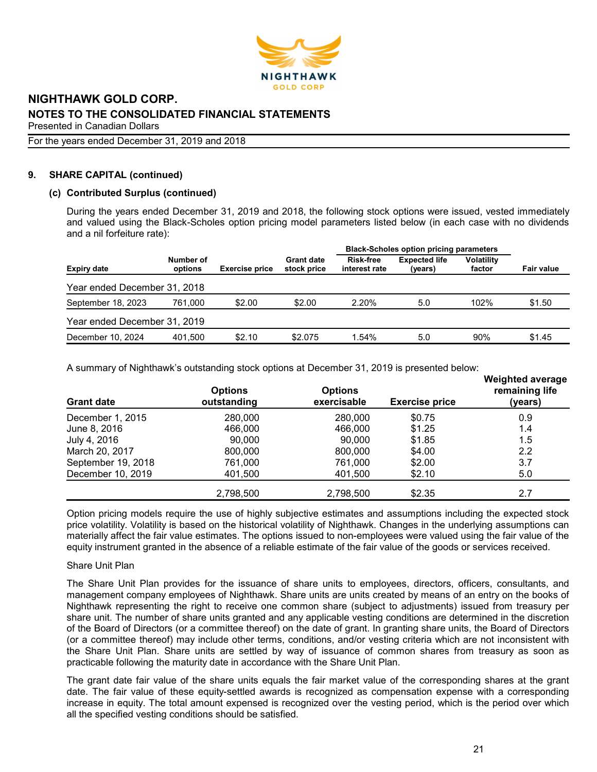

For the years ended December 31, 2019 and 2018

# 9. SHARE CAPITAL (continued)

# (c) Contributed Surplus (continued)

During the years ended December 31, 2019 and 2018, the following stock options were issued, vested immediately and valued using the Black-Scholes option pricing model parameters listed below (in each case with no dividends and a nil forfeiture rate):

|                              |                      |                       |                                  | <b>Black-Scholes option pricing parameters</b> |                                 |                             |                   |
|------------------------------|----------------------|-----------------------|----------------------------------|------------------------------------------------|---------------------------------|-----------------------------|-------------------|
| <b>Expiry date</b>           | Number of<br>options | <b>Exercise price</b> | <b>Grant date</b><br>stock price | <b>Risk-free</b><br>interest rate              | <b>Expected life</b><br>(years) | <b>Volatility</b><br>factor | <b>Fair value</b> |
| Year ended December 31, 2018 |                      |                       |                                  |                                                |                                 |                             |                   |
| September 18, 2023           | 761.000              | \$2.00                | \$2.00                           | 2.20%                                          | 5.0                             | 102%                        | \$1.50            |
| Year ended December 31, 2019 |                      |                       |                                  |                                                |                                 |                             |                   |
| December 10, 2024            | 401.500              | \$2.10                | \$2.075                          | 1.54%                                          | 5.0                             | 90%                         | \$1.45            |

A summary of Nighthawk's outstanding stock options at December 31, 2019 is presented below:

| <b>Grant date</b>  | <b>Options</b><br>outstanding | <b>Options</b><br>exercisable | <b>Exercise price</b> | <i>vvelgned average</i><br>remaining life<br>(years) |
|--------------------|-------------------------------|-------------------------------|-----------------------|------------------------------------------------------|
| December 1, 2015   | 280,000                       | 280,000                       | \$0.75                | 0.9                                                  |
| June 8, 2016       | 466,000                       | 466,000                       | \$1.25                | 1.4                                                  |
| July 4, 2016       | 90,000                        | 90.000                        | \$1.85                | 1.5                                                  |
| March 20, 2017     | 800,000                       | 800,000                       | \$4.00                | $2.2\,$                                              |
| September 19, 2018 | 761,000                       | 761,000                       | \$2.00                | 3.7                                                  |
| December 10, 2019  | 401,500                       | 401,500                       | \$2.10                | 5.0                                                  |
|                    | 2,798,500                     | 2,798,500                     | \$2.35                | 2.7                                                  |

Option pricing models require the use of highly subjective estimates and assumptions including the expected stock price volatility. Volatility is based on the historical volatility of Nighthawk. Changes in the underlying assumptions can materially affect the fair value estimates. The options issued to non-employees were valued using the fair value of the equity instrument granted in the absence of a reliable estimate of the fair value of the goods or services received.

## Share Unit Plan

The Share Unit Plan provides for the issuance of share units to employees, directors, officers, consultants, and management company employees of Nighthawk. Share units are units created by means of an entry on the books of Nighthawk representing the right to receive one common share (subject to adjustments) issued from treasury per share unit. The number of share units granted and any applicable vesting conditions are determined in the discretion of the Board of Directors (or a committee thereof) on the date of grant. In granting share units, the Board of Directors (or a committee thereof) may include other terms, conditions, and/or vesting criteria which are not inconsistent with the Share Unit Plan. Share units are settled by way of issuance of common shares from treasury as soon as practicable following the maturity date in accordance with the Share Unit Plan.

The grant date fair value of the share units equals the fair market value of the corresponding shares at the grant date. The fair value of these equity-settled awards is recognized as compensation expense with a corresponding increase in equity. The total amount expensed is recognized over the vesting period, which is the period over which all the specified vesting conditions should be satisfied.

Weighted average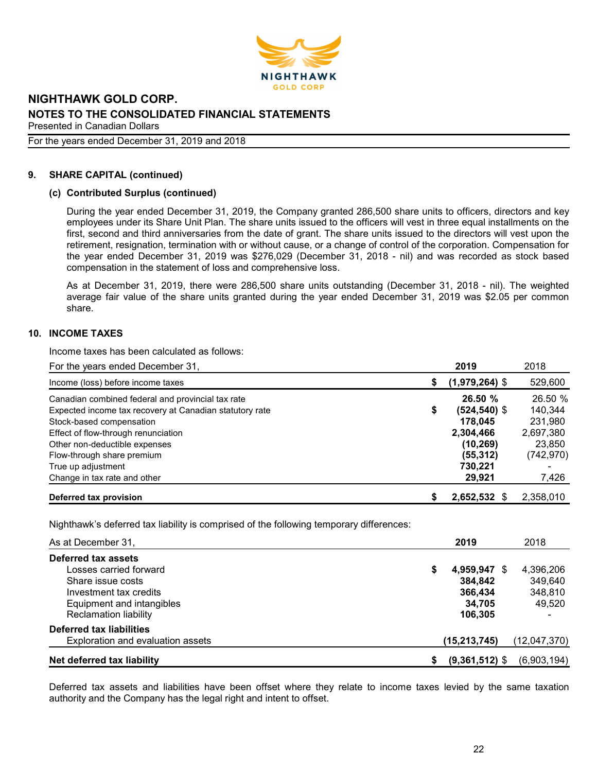

For the years ended December 31, 2019 and 2018

## 9. SHARE CAPITAL (continued)

#### (c) Contributed Surplus (continued)

During the year ended December 31, 2019, the Company granted 286,500 share units to officers, directors and key employees under its Share Unit Plan. The share units issued to the officers will vest in three equal installments on the first, second and third anniversaries from the date of grant. The share units issued to the directors will vest upon the retirement, resignation, termination with or without cause, or a change of control of the corporation. Compensation for the year ended December 31, 2019 was \$276,029 (December 31, 2018 - nil) and was recorded as stock based compensation in the statement of loss and comprehensive loss.

As at December 31, 2019, there were 286,500 share units outstanding (December 31, 2018 - nil). The weighted average fair value of the share units granted during the year ended December 31, 2019 was \$2.05 per common share.

## 10. INCOME TAXES

Income taxes has been calculated as follows:

| For the years ended December 31,                        |   | 2019             | 2018      |
|---------------------------------------------------------|---|------------------|-----------|
| Income (loss) before income taxes                       | S | $(1,979,264)$ \$ | 529,600   |
| Canadian combined federal and provincial tax rate       |   | 26.50%           | 26.50 %   |
| Expected income tax recovery at Canadian statutory rate | S | $(524, 540)$ \$  | 140.344   |
| Stock-based compensation                                |   | 178.045          | 231,980   |
| Effect of flow-through renunciation                     |   | 2,304,466        | 2,697,380 |
| Other non-deductible expenses                           |   | (10, 269)        | 23,850    |
| Flow-through share premium                              |   | (55, 312)        | (742,970) |
| True up adjustment                                      |   | 730.221          |           |
| Change in tax rate and other                            |   | 29,921           | 7,426     |
| Deferred tax provision                                  |   | 2,652,532        | 2,358,010 |

Nighthawk's deferred tax liability is comprised of the following temporary differences:

| As at December 31,                |   | 2019             | 2018         |
|-----------------------------------|---|------------------|--------------|
| Deferred tax assets               |   |                  |              |
| Losses carried forward            | 5 | 4,959,947 \$     | 4,396,206    |
| Share issue costs                 |   | 384.842          | 349,640      |
| Investment tax credits            |   | 366,434          | 348,810      |
| Equipment and intangibles         |   | 34.705           | 49,520       |
| <b>Reclamation liability</b>      |   | 106.305          |              |
| <b>Deferred tax liabilities</b>   |   |                  |              |
| Exploration and evaluation assets |   | (15, 213, 745)   | (12,047,370) |
| Net deferred tax liability        |   | $(9,361,512)$ \$ | (6,903,194)  |

Deferred tax assets and liabilities have been offset where they relate to income taxes levied by the same taxation authority and the Company has the legal right and intent to offset.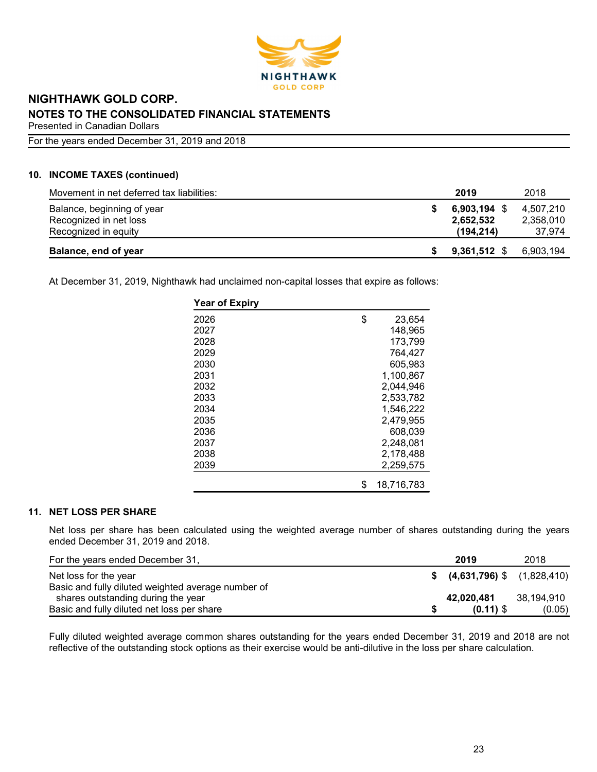

For the years ended December 31, 2019 and 2018

# 10. INCOME TAXES (continued)

| Movement in net deferred tax liabilities: | 2019           | 2018      |
|-------------------------------------------|----------------|-----------|
| Balance, beginning of year                | $6,903,194$ \$ | 4.507.210 |
| Recognized in net loss                    | 2,652,532      | 2,358,010 |
| Recognized in equity                      | (194.214)      | 37.974    |
| Balance, end of year                      | $9,361,512$ \$ | 6,903,194 |

At December 31, 2019, Nighthawk had unclaimed non-capital losses that expire as follows:

| <b>Year of Expiry</b> |                  |
|-----------------------|------------------|
| 2026                  | \$<br>23,654     |
| 2027                  | 148,965          |
| 2028                  | 173,799          |
| 2029                  | 764,427          |
| 2030                  | 605,983          |
| 2031                  | 1,100,867        |
| 2032                  | 2,044,946        |
| 2033                  | 2,533,782        |
| 2034                  | 1,546,222        |
| 2035                  | 2,479,955        |
| 2036                  | 608.039          |
| 2037                  | 2,248,081        |
| 2038                  | 2,178,488        |
| 2039                  | 2,259,575        |
|                       | \$<br>18,716,783 |

# 11. NET LOSS PER SHARE

Net loss per share has been calculated using the weighted average number of shares outstanding during the years ended December 31, 2019 and 2018.

| For the years ended December 31,                   | 2019                           | 2018       |
|----------------------------------------------------|--------------------------------|------------|
| Net loss for the year                              | $$$ (4,631,796) \$ (1,828,410) |            |
| Basic and fully diluted weighted average number of |                                |            |
| shares outstanding during the year                 | 42.020.481                     | 38.194.910 |
| Basic and fully diluted net loss per share         | $(0.11)$ \$                    | (0.05)     |

Fully diluted weighted average common shares outstanding for the years ended December 31, 2019 and 2018 are not reflective of the outstanding stock options as their exercise would be anti-dilutive in the loss per share calculation.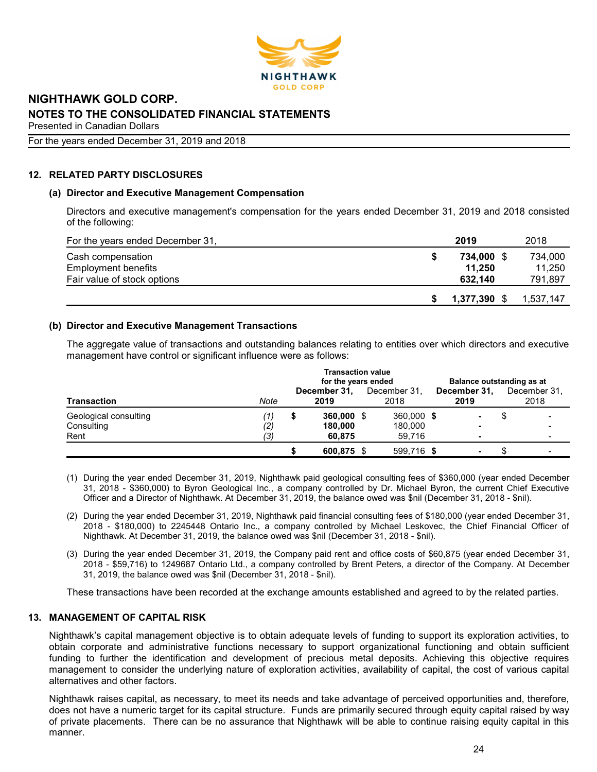

# For the years ended December 31, 2019 and 2018

# 12. RELATED PARTY DISCLOSURES

# (a) Director and Executive Management Compensation

Directors and executive management's compensation for the years ended December 31, 2019 and 2018 consisted of the following:

| For the years ended December 31, | 2019         | 2018      |
|----------------------------------|--------------|-----------|
| Cash compensation                | 734.000      | 734.000   |
| <b>Employment benefits</b>       | 11.250       | 11.250    |
| Fair value of stock options      | 632.140      | 791,897   |
|                                  |              |           |
|                                  | 1,377,390 \$ | 1.537.147 |

# (b) Director and Executive Management Transactions

The aggregate value of transactions and outstanding balances relating to entities over which directors and executive management have control or significant influence were as follows:

|                                             | <b>Transaction value</b><br>for the years ended |   |                                 |  |                                 |  |                          | Balance outstanding as at |                      |  |
|---------------------------------------------|-------------------------------------------------|---|---------------------------------|--|---------------------------------|--|--------------------------|---------------------------|----------------------|--|
| <b>Transaction</b>                          | Note                                            |   | December 31,<br>2019            |  | December 31.<br>2018            |  | December 31,<br>2019     |                           | December 31,<br>2018 |  |
| Geological consulting<br>Consulting<br>Rent | $\left( 1\right)$<br>(2)<br>(3)                 | S | 360,000 \$<br>180,000<br>60,875 |  | 360,000 \$<br>180,000<br>59,716 |  | $\overline{\phantom{a}}$ |                           |                      |  |
|                                             |                                                 |   | 600,875 \$                      |  | 599.716 \$                      |  | ۰                        |                           |                      |  |

- (1) During the year ended December 31, 2019, Nighthawk paid geological consulting fees of \$360,000 (year ended December 31, 2018 - \$360,000) to Byron Geological Inc., a company controlled by Dr. Michael Byron, the current Chief Executive Officer and a Director of Nighthawk. At December 31, 2019, the balance owed was \$nil (December 31, 2018 - \$nil).
- (2) During the year ended December 31, 2019, Nighthawk paid financial consulting fees of \$180,000 (year ended December 31, 2018 - \$180,000) to 2245448 Ontario Inc., a company controlled by Michael Leskovec, the Chief Financial Officer of Nighthawk. At December 31, 2019, the balance owed was \$nil (December 31, 2018 - \$nil).
- (3) During the year ended December 31, 2019, the Company paid rent and office costs of \$60,875 (year ended December 31, 2018 - \$59,716) to 1249687 Ontario Ltd., a company controlled by Brent Peters, a director of the Company. At December 31, 2019, the balance owed was \$nil (December 31, 2018 - \$nil).

These transactions have been recorded at the exchange amounts established and agreed to by the related parties.

# 13. MANAGEMENT OF CAPITAL RISK

Nighthawk's capital management objective is to obtain adequate levels of funding to support its exploration activities, to obtain corporate and administrative functions necessary to support organizational functioning and obtain sufficient funding to further the identification and development of precious metal deposits. Achieving this objective requires management to consider the underlying nature of exploration activities, availability of capital, the cost of various capital alternatives and other factors.

Nighthawk raises capital, as necessary, to meet its needs and take advantage of perceived opportunities and, therefore, does not have a numeric target for its capital structure. Funds are primarily secured through equity capital raised by way of private placements. There can be no assurance that Nighthawk will be able to continue raising equity capital in this manner.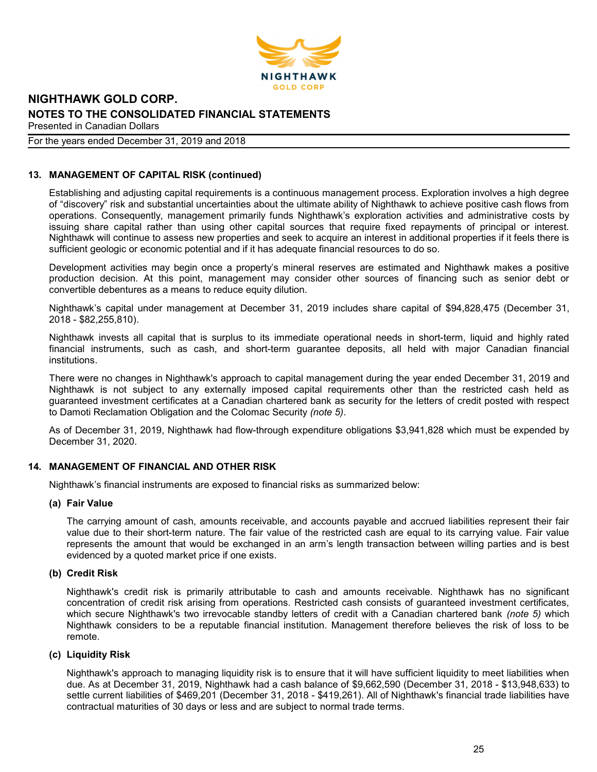

### For the years ended December 31, 2019 and 2018

# 13. MANAGEMENT OF CAPITAL RISK (continued)

Establishing and adjusting capital requirements is a continuous management process. Exploration involves a high degree of "discovery" risk and substantial uncertainties about the ultimate ability of Nighthawk to achieve positive cash flows from operations. Consequently, management primarily funds Nighthawk's exploration activities and administrative costs by issuing share capital rather than using other capital sources that require fixed repayments of principal or interest. Nighthawk will continue to assess new properties and seek to acquire an interest in additional properties if it feels there is sufficient geologic or economic potential and if it has adequate financial resources to do so.

Development activities may begin once a property's mineral reserves are estimated and Nighthawk makes a positive production decision. At this point, management may consider other sources of financing such as senior debt or convertible debentures as a means to reduce equity dilution.

Nighthawk's capital under management at December 31, 2019 includes share capital of \$94,828,475 (December 31, 2018 - \$82,255,810).

Nighthawk invests all capital that is surplus to its immediate operational needs in short-term, liquid and highly rated financial instruments, such as cash, and short-term guarantee deposits, all held with major Canadian financial institutions.

There were no changes in Nighthawk's approach to capital management during the year ended December 31, 2019 and Nighthawk is not subject to any externally imposed capital requirements other than the restricted cash held as guaranteed investment certificates at a Canadian chartered bank as security for the letters of credit posted with respect to Damoti Reclamation Obligation and the Colomac Security (note 5).

As of December 31, 2019, Nighthawk had flow-through expenditure obligations \$3,941,828 which must be expended by December 31, 2020.

## 14. MANAGEMENT OF FINANCIAL AND OTHER RISK

Nighthawk's financial instruments are exposed to financial risks as summarized below:

# (a) Fair Value

The carrying amount of cash, amounts receivable, and accounts payable and accrued liabilities represent their fair value due to their short-term nature. The fair value of the restricted cash are equal to its carrying value. Fair value represents the amount that would be exchanged in an arm's length transaction between willing parties and is best evidenced by a quoted market price if one exists.

## (b) Credit Risk

Nighthawk's credit risk is primarily attributable to cash and amounts receivable. Nighthawk has no significant concentration of credit risk arising from operations. Restricted cash consists of guaranteed investment certificates, which secure Nighthawk's two irrevocable standby letters of credit with a Canadian chartered bank (note 5) which Nighthawk considers to be a reputable financial institution. Management therefore believes the risk of loss to be remote.

#### (c) Liquidity Risk

Nighthawk's approach to managing liquidity risk is to ensure that it will have sufficient liquidity to meet liabilities when due. As at December 31, 2019, Nighthawk had a cash balance of \$9,662,590 (December 31, 2018 - \$13,948,633) to settle current liabilities of \$469,201 (December 31, 2018 - \$419,261). All of Nighthawk's financial trade liabilities have contractual maturities of 30 days or less and are subject to normal trade terms.